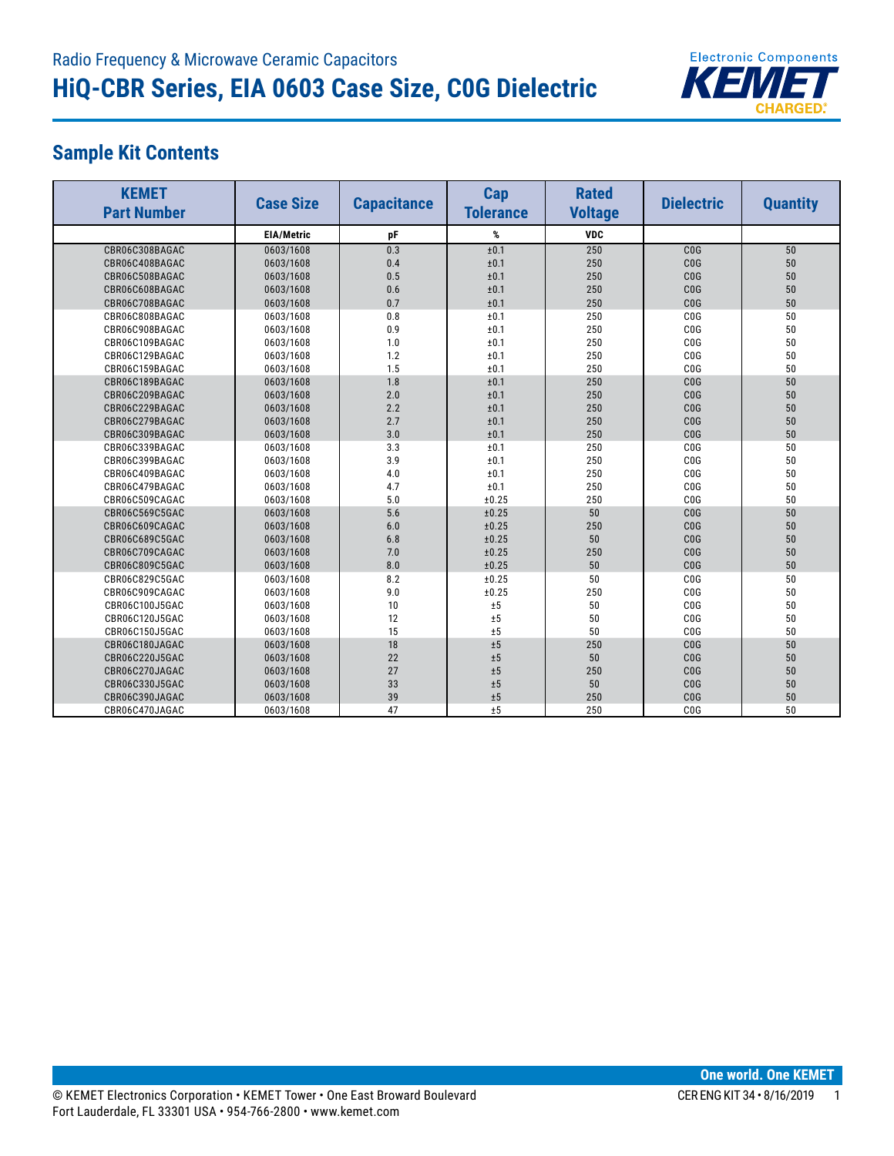

## **Sample Kit Contents**

| <b>KEMET</b><br><b>Part Number</b> | <b>Case Size</b>  | <b>Capacitance</b> | Cap<br><b>Tolerance</b> | <b>Rated</b><br><b>Voltage</b> | <b>Dielectric</b> | <b>Quantity</b> |
|------------------------------------|-------------------|--------------------|-------------------------|--------------------------------|-------------------|-----------------|
|                                    | <b>EIA/Metric</b> | pF                 | %                       | <b>VDC</b>                     |                   |                 |
| CBR06C308BAGAC                     | 0603/1608         | 0.3                | ±0.1                    | 250                            | CO <sub>G</sub>   | 50              |
| CBR06C408BAGAC                     | 0603/1608         | 0.4                | ±0.1                    | 250                            | CO <sub>G</sub>   | 50              |
| CBR06C508BAGAC                     | 0603/1608         | 0.5                | ±0.1                    | 250                            | CO <sub>G</sub>   | 50              |
| CBR06C608BAGAC                     | 0603/1608         | 0.6                | ±0.1                    | 250                            | CO <sub>G</sub>   | 50              |
| CBR06C708BAGAC                     | 0603/1608         | 0.7                | ±0.1                    | 250                            | CO <sub>G</sub>   | 50              |
| CBR06C808BAGAC                     | 0603/1608         | 0.8                | ±0.1                    | 250                            | CO <sub>G</sub>   | 50              |
| CBR06C908BAGAC                     | 0603/1608         | 0.9                | ±0.1                    | 250                            | C <sub>0</sub> G  | 50              |
| CBR06C109BAGAC                     | 0603/1608         | 1.0                | ±0.1                    | 250                            | CO <sub>G</sub>   | 50              |
| CBR06C129BAGAC                     | 0603/1608         | 1.2                | ±0.1                    | 250                            | CO <sub>G</sub>   | 50              |
| CBR06C159BAGAC                     | 0603/1608         | 1.5                | ±0.1                    | 250                            | CO <sub>G</sub>   | 50              |
| CBR06C189BAGAC                     | 0603/1608         | 1.8                | ±0.1                    | 250                            | CO <sub>G</sub>   | 50              |
| CBR06C209BAGAC                     | 0603/1608         | 2.0                | ±0.1                    | 250                            | CO <sub>G</sub>   | 50              |
| CBR06C229BAGAC                     | 0603/1608         | 2.2                | ±0.1                    | 250                            | CO <sub>G</sub>   | 50              |
| CBR06C279BAGAC                     | 0603/1608         | 2.7                | ±0.1                    | 250                            | CO <sub>G</sub>   | 50              |
| CBR06C309BAGAC                     | 0603/1608         | 3.0                | ±0.1                    | 250                            | CO <sub>G</sub>   | 50              |
| CBR06C339BAGAC                     | 0603/1608         | 3.3                | ±0.1                    | 250                            | CO <sub>G</sub>   | 50              |
| CBR06C399BAGAC                     | 0603/1608         | 3.9                | ±0.1                    | 250                            | COG               | 50              |
| CBR06C409BAGAC                     | 0603/1608         | 4.0                | ±0.1                    | 250                            | C <sub>0</sub> G  | 50              |
| CBR06C479BAGAC                     | 0603/1608         | 4.7                | ±0.1                    | 250                            | C <sub>0</sub> G  | 50              |
| CBR06C509CAGAC                     | 0603/1608         | 5.0                | ±0.25                   | 250                            | C <sub>0</sub> G  | 50              |
| CBR06C569C5GAC                     | 0603/1608         | 5.6                | ±0.25                   | 50                             | COG               | 50              |
| CBR06C609CAGAC                     | 0603/1608         | 6.0                | ±0.25                   | 250                            | COG               | 50              |
| CBR06C689C5GAC                     | 0603/1608         | 6.8                | ±0.25                   | 50                             | COG               | 50              |
| CBR06C709CAGAC                     | 0603/1608         | 7.0                | ±0.25                   | 250                            | COG               | 50              |
| CBR06C809C5GAC                     | 0603/1608         | 8.0                | ±0.25                   | 50                             | COG               | 50              |
| CBR06C829C5GAC                     | 0603/1608         | 8.2                | ±0.25                   | 50                             | COG               | 50              |
| CBR06C909CAGAC                     | 0603/1608         | 9.0                | ±0.25                   | 250                            | C <sub>0</sub> G  | 50              |
| CBR06C100J5GAC                     | 0603/1608         | 10                 | ±5                      | 50                             | C <sub>0</sub> G  | 50              |
| CBR06C120J5GAC                     | 0603/1608         | 12                 | ±5                      | 50                             | COG               | 50              |
| CBR06C150J5GAC                     | 0603/1608         | 15                 | ±5                      | 50                             | COG               | 50              |
| CBR06C180JAGAC                     | 0603/1608         | 18                 | ±5                      | 250                            | COG               | 50              |
| CBR06C220J5GAC                     | 0603/1608         | 22                 | ±5                      | 50                             | COG               | 50              |
| CBR06C270JAGAC                     | 0603/1608         | 27                 | ±5                      | 250                            | COG               | 50              |
| CBR06C330J5GAC                     | 0603/1608         | 33                 | ±5                      | 50                             | COG               | 50              |
| CBR06C390JAGAC                     | 0603/1608         | 39                 | ±5                      | 250                            | COG               | 50              |
| CBR06C470JAGAC                     | 0603/1608         | 47                 | ±5                      | 250                            | C <sub>0</sub> G  | 50              |